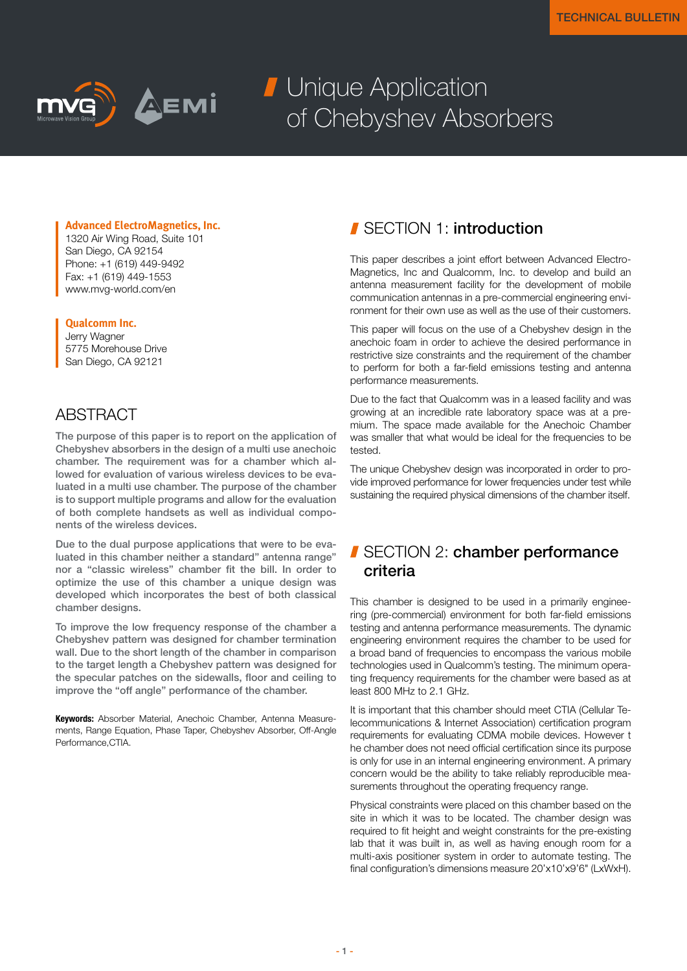

# **J** Unique Application of Chebyshev Absorbers

#### **Advanced ElectroMagnetics, Inc.**

1320 Air Wing Road, Suite 101 San Diego, CA 92154 Phone: +1 (619) 449-9492 Fax: +1 (619) 449-1553 www.mvg-world.com/en

#### **Qualcomm Inc.**

Jerry Wagner 5775 Morehouse Drive San Diego, CA 92121

#### ABSTRACT

The purpose of this paper is to report on the application of Chebyshev absorbers in the design of a multi use anechoic chamber. The requirement was for a chamber which allowed for evaluation of various wireless devices to be evaluated in a multi use chamber. The purpose of the chamber is to support multiple programs and allow for the evaluation of both complete handsets as well as individual components of the wireless devices.

Due to the dual purpose applications that were to be evaluated in this chamber neither a standard" antenna range" nor a "classic wireless" chamber fit the bill. In order to optimize the use of this chamber a unique design was developed which incorporates the best of both classical chamber designs.

To improve the low frequency response of the chamber a Chebyshev pattern was designed for chamber termination wall. Due to the short length of the chamber in comparison to the target length a Chebyshev pattern was designed for the specular patches on the sidewalls, floor and ceiling to improve the "off angle" performance of the chamber.

Keywords: Absorber Material, Anechoic Chamber, Antenna Measurements, Range Equation, Phase Taper, Chebyshev Absorber, Off-Angle Performance CTIA

#### SECTION 1: introduction

This paper describes a joint effort between Advanced Electro-Magnetics, Inc and Qualcomm, Inc. to develop and build an antenna measurement facility for the development of mobile communication antennas in a pre-commercial engineering environment for their own use as well as the use of their customers.

This paper will focus on the use of a Chebyshev design in the anechoic foam in order to achieve the desired performance in restrictive size constraints and the requirement of the chamber to perform for both a far-field emissions testing and antenna performance measurements.

Due to the fact that Qualcomm was in a leased facility and was growing at an incredible rate laboratory space was at a premium. The space made available for the Anechoic Chamber was smaller that what would be ideal for the frequencies to be tested.

The unique Chebyshev design was incorporated in order to provide improved performance for lower frequencies under test while sustaining the required physical dimensions of the chamber itself.

## SECTION 2: chamber performance criteria

This chamber is designed to be used in a primarily engineering (pre-commercial) environment for both far-field emissions testing and antenna performance measurements. The dynamic engineering environment requires the chamber to be used for a broad band of frequencies to encompass the various mobile technologies used in Qualcomm's testing. The minimum operating frequency requirements for the chamber were based as at least 800 MHz to 2.1 GHz.

It is important that this chamber should meet CTIA (Cellular Telecommunications & Internet Association) certification program requirements for evaluating CDMA mobile devices. However t he chamber does not need official certification since its purpose is only for use in an internal engineering environment. A primary concern would be the ability to take reliably reproducible measurements throughout the operating frequency range.

Physical constraints were placed on this chamber based on the site in which it was to be located. The chamber design was required to fit height and weight constraints for the pre-existing lab that it was built in, as well as having enough room for a multi-axis positioner system in order to automate testing. The final configuration's dimensions measure 20'x10'x9'6" (LxWxH).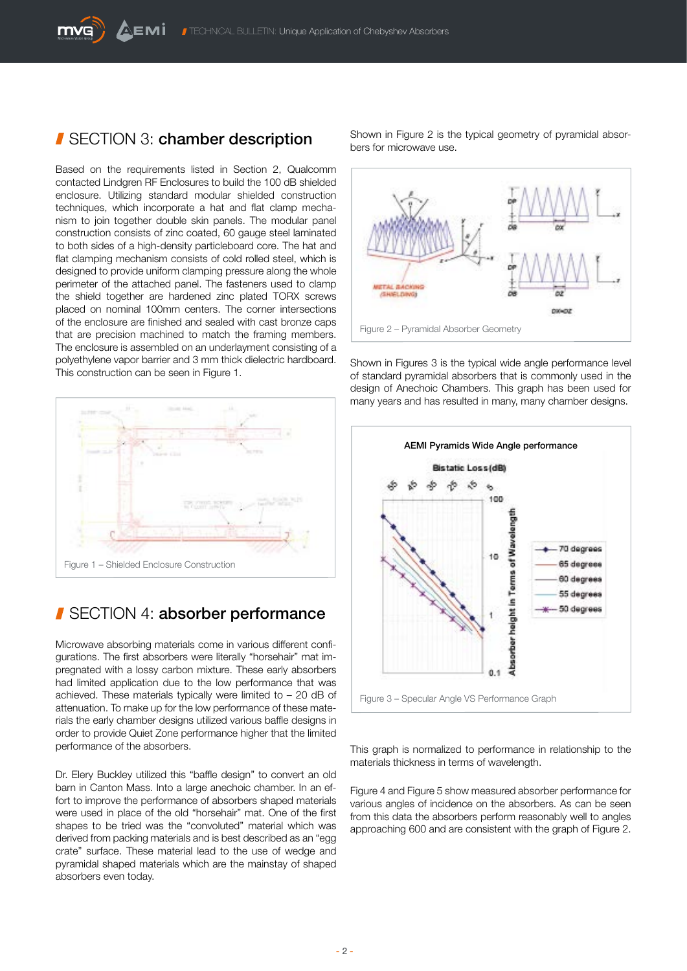#### SECTION 3: chamber description

Based on the requirements listed in Section 2, Qualcomm contacted Lindgren RF Enclosures to build the 100 dB shielded enclosure. Utilizing standard modular shielded construction techniques, which incorporate a hat and flat clamp mechanism to join together double skin panels. The modular panel construction consists of zinc coated, 60 gauge steel laminated to both sides of a high-density particleboard core. The hat and flat clamping mechanism consists of cold rolled steel, which is designed to provide uniform clamping pressure along the whole perimeter of the attached panel. The fasteners used to clamp the shield together are hardened zinc plated TORX screws placed on nominal 100mm centers. The corner intersections of the enclosure are finished and sealed with cast bronze caps that are precision machined to match the framing members. The enclosure is assembled on an underlayment consisting of a polyethylene vapor barrier and 3 mm thick dielectric hardboard. This construction can be seen in Figure 1.



### SECTION 4: absorber performance

Microwave absorbing materials come in various different configurations. The first absorbers were literally "horsehair" mat impregnated with a lossy carbon mixture. These early absorbers had limited application due to the low performance that was achieved. These materials typically were limited to  $-20$  dB of attenuation. To make up for the low performance of these materials the early chamber designs utilized various baffle designs in order to provide Quiet Zone performance higher that the limited performance of the absorbers.

Dr. Elery Buckley utilized this "baffle design" to convert an old barn in Canton Mass. Into a large anechoic chamber. In an effort to improve the performance of absorbers shaped materials were used in place of the old "horsehair" mat. One of the first shapes to be tried was the "convoluted" material which was derived from packing materials and is best described as an "egg crate" surface. These material lead to the use of wedge and pyramidal shaped materials which are the mainstay of shaped absorbers even today.

Shown in Figure 2 is the typical geometry of pyramidal absorbers for microwave use.



Shown in Figures 3 is the typical wide angle performance level of standard pyramidal absorbers that is commonly used in the design of Anechoic Chambers. This graph has been used for many years and has resulted in many, many chamber designs.



This graph is normalized to performance in relationship to the materials thickness in terms of wavelength.

Figure 4 and Figure 5 show measured absorber performance for various angles of incidence on the absorbers. As can be seen from this data the absorbers perform reasonably well to angles approaching 600 and are consistent with the graph of Figure 2.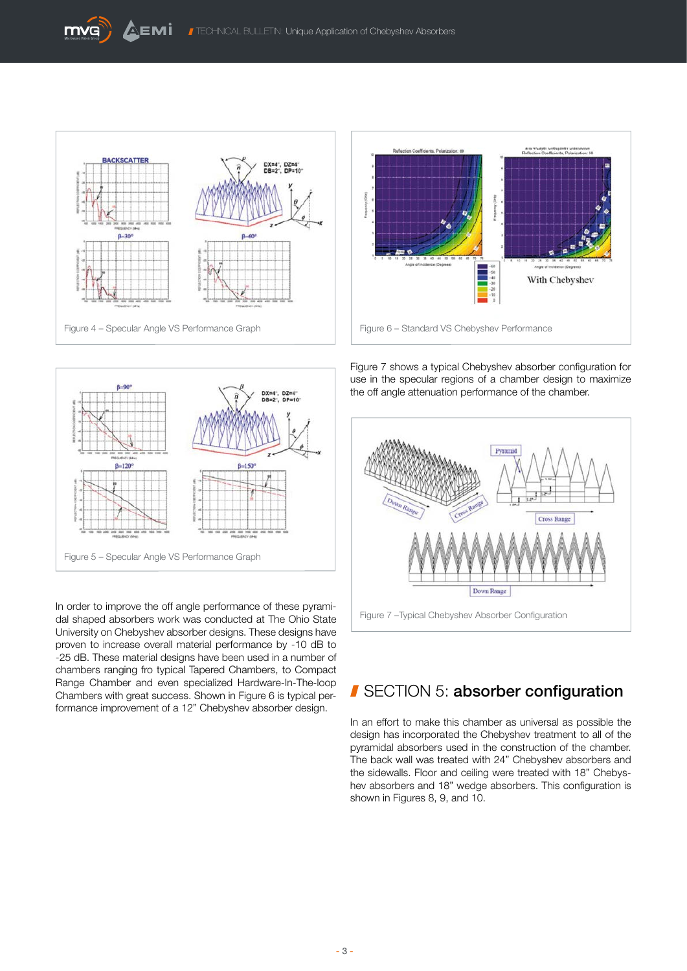



Figure 7 shows a typical Chebyshev absorber configuration for use in the specular regions of a chamber design to maximize the off angle attenuation performance of the chamber.



In order to improve the off angle performance of these pyramidal shaped absorbers work was conducted at The Ohio State University on Chebyshev absorber designs. These designs have proven to increase overall material performance by -10 dB to -25 dB. These material designs have been used in a number of chambers ranging fro typical Tapered Chambers, to Compact Range Chamber and even specialized Hardware-In-The-loop Chambers with great success. Shown in Figure 6 is typical performance improvement of a 12" Chebyshev absorber design.



## SECTION 5: absorber configuration

In an effort to make this chamber as universal as possible the design has incorporated the Chebyshev treatment to all of the pyramidal absorbers used in the construction of the chamber. The back wall was treated with 24" Chebyshev absorbers and the sidewalls. Floor and ceiling were treated with 18" Chebyshev absorbers and 18" wedge absorbers. This configuration is shown in Figures 8, 9, and 10.